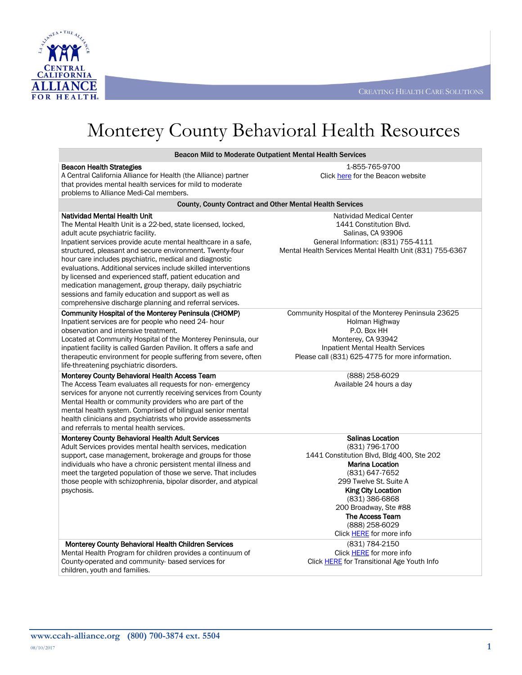



# Monterey County Behavioral Health Resources

Beacon Mild to Moderate Outpatient Mental Health Services

| <b>Beacon Health Strategies</b>                                                                                          | 1-855-765-9700                                           |  |
|--------------------------------------------------------------------------------------------------------------------------|----------------------------------------------------------|--|
| A Central California Alliance for Health (the Alliance) partner                                                          | Click here for the Beacon website                        |  |
| that provides mental health services for mild to moderate                                                                |                                                          |  |
| problems to Alliance Medi-Cal members.                                                                                   |                                                          |  |
| County, County Contract and Other Mental Health Services                                                                 |                                                          |  |
| <b>Natividad Mental Health Unit</b>                                                                                      | Natividad Medical Center                                 |  |
| The Mental Health Unit is a 22-bed, state licensed, locked,                                                              | 1441 Constitution Blvd.                                  |  |
| adult acute psychiatric facility.                                                                                        | Salinas, CA 93906                                        |  |
| Inpatient services provide acute mental healthcare in a safe,                                                            | General Information: (831) 755-4111                      |  |
| structured, pleasant and secure environment. Twenty-four                                                                 | Mental Health Services Mental Health Unit (831) 755-6367 |  |
| hour care includes psychiatric, medical and diagnostic<br>evaluations. Additional services include skilled interventions |                                                          |  |
| by licensed and experienced staff, patient education and                                                                 |                                                          |  |
| medication management, group therapy, daily psychiatric                                                                  |                                                          |  |
| sessions and family education and support as well as                                                                     |                                                          |  |
| comprehensive discharge planning and referral services.                                                                  |                                                          |  |
| Community Hospital of the Monterey Peninsula (CHOMP)                                                                     | Community Hospital of the Monterey Peninsula 23625       |  |
| Inpatient services are for people who need 24- hour                                                                      | Holman Highway                                           |  |
| observation and intensive treatment.                                                                                     | P.O. Box HH                                              |  |
| Located at Community Hospital of the Monterey Peninsula, our                                                             | Monterey, CA 93942                                       |  |
| inpatient facility is called Garden Pavilion. It offers a safe and                                                       | <b>Inpatient Mental Health Services</b>                  |  |
| therapeutic environment for people suffering from severe, often                                                          | Please call (831) 625-4775 for more information.         |  |
| life-threatening psychiatric disorders.                                                                                  |                                                          |  |
| Monterey County Behavioral Health Access Team                                                                            | (888) 258-6029                                           |  |
| The Access Team evaluates all requests for non-emergency                                                                 | Available 24 hours a day                                 |  |
| services for anyone not currently receiving services from County                                                         |                                                          |  |
| Mental Health or community providers who are part of the<br>mental health system. Comprised of bilingual senior mental   |                                                          |  |
| health clinicians and psychiatrists who provide assessments                                                              |                                                          |  |
| and referrals to mental health services.                                                                                 |                                                          |  |
| Monterey County Behavioral Health Adult Services                                                                         | <b>Salinas Location</b>                                  |  |
| Adult Services provides mental health services, medication                                                               | (831) 796-1700                                           |  |
| support, case management, brokerage and groups for those                                                                 | 1441 Constitution Blvd, Bldg 400, Ste 202                |  |
| individuals who have a chronic persistent mental illness and                                                             | <b>Marina Location</b>                                   |  |
| meet the targeted population of those we serve. That includes                                                            | (831) 647-7652                                           |  |
| those people with schizophrenia, bipolar disorder, and atypical                                                          | 299 Twelve St. Suite A                                   |  |
| psychosis.                                                                                                               | <b>King City Location</b>                                |  |
|                                                                                                                          | (831) 386-6868<br>200 Broadway, Ste #88                  |  |
|                                                                                                                          | The Access Team                                          |  |
|                                                                                                                          | (888) 258-6029                                           |  |
|                                                                                                                          | Click <b>HERE</b> for more info                          |  |
| Monterey County Behavioral Health Children Services                                                                      | (831) 784-2150                                           |  |
| Mental Health Program for children provides a continuum of                                                               | Click <b>HERE</b> for more info                          |  |
| County-operated and community- based services for                                                                        | Click <b>HERE</b> for Transitional Age Youth Info        |  |
| children, youth and families.                                                                                            |                                                          |  |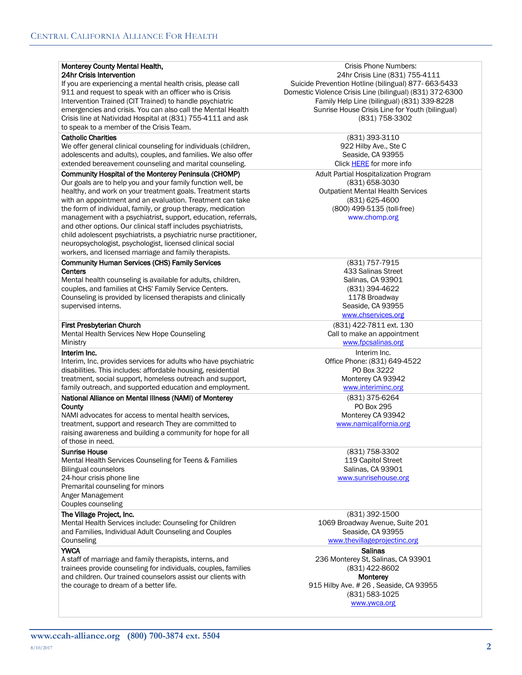### Monterey County Mental Health, 24hr Crisis Intervention

If you are experiencing a mental health crisis, please call 911 and request to speak with an officer who is Crisis Intervention Trained (CIT Trained) to handle psychiatric emergencies and crisis. You can also call the Mental Health Crisis line at Natividad Hospital at (831) 755-4111 and ask to speak to a member of the Crisis Team.

## Catholic Charities

We offer general clinical counseling for individuals (children, adolescents and adults), couples, and families. We also offer extended bereavement counseling and marital counseling.

## Community Hospital of the Monterey Peninsula (CHOMP)

Our goals are to help you and your family function well, be healthy, and work on your treatment goals. Treatment starts with an appointment and an evaluation. Treatment can take the form of individual, family, or group therapy, medication management with a psychiatrist, support, education, referrals, and other options. Our clinical staff includes psychiatrists, child adolescent psychiatrists, a psychiatric nurse practitioner, neuropsychologist, psychologist, licensed clinical social workers, and licensed marriage and family therapists.

#### Community Human Services (CHS) Family Services **Centers**

Mental health counseling is available for adults, children, couples, and families at CHS' Family Service Centers. Counseling is provided by licensed therapists and clinically supervised interns.

### First Presbyterian Church

Mental Health Services New Hope Counseling **Ministry** 

## Interim Inc.

Interim, Inc. provides services for adults who have psychiatric disabilities. This includes: affordable housing, residential treatment, social support, homeless outreach and support, family outreach, and supported education and employment.

#### National Alliance on Mental Illness (NAMI) of Monterey **County**

NAMI advocates for access to mental health services, treatment, support and research They are committed to raising awareness and building a community for hope for all of those in need.

# Sunrise House

Mental Health Services Counseling for Teens & Families Bilingual counselors 24-hour crisis phone line Premarital counseling for minors Anger Management Couples counseling

# The Village Project, Inc.

Mental Health Services include: Counseling for Children and Families, Individual Adult Counseling and Couples **Counseling** 

# **YWCA**

A staff of marriage and family therapists, interns, and trainees provide counseling for individuals, couples, families and children. Our trained counselors assist our clients with the courage to dream of a better life.

Crisis Phone Numbers: 24hr Crisis Line (831) 755-4111 Suicide Prevention Hotline (bilingual) 877- 663-5433 Domestic Violence Crisis Line (bilingual) (831) 372-6300 Family Help Line (bilingual) (831) 339-8228 Sunrise House Crisis Line for Youth (bilingual) (831) 758-3302

> (831) 393-3110 922 Hilby Ave., Ste C Seaside, CA 93955 Click **HERE** for more info

Adult Partial Hospitalization Program (831) 658-3030 Outpatient Mental Health Services (831) 625-4600 (800) 499-5135 (toll-free) www.chomp.org

> (831) 757-7915 433 Salinas Street Salinas, CA 93901 (831) 394-4622 1178 Broadway Seaside, CA 93955

# www.chservices.org

(831) 422-7811 ext. 130 Call to make an appointment

www.fpcsalinas.org

Interim Inc. Office Phone: (831) 649-4522 PO Box 3222 Monterey CA 93942 www.interiminc.org

> (831) 375-6264 PO Box 295 Monterey CA 93942

www.namicalifornia.org

(831) 758-3302 119 Capitol Street Salinas, CA 93901 www.sunrisehouse.org

(831) 392-1500 1069 Broadway Avenue, Suite 201 Seaside, CA 93955

www.thevillageprojectinc.org Salinas 236 Monterey St, Salinas, CA 93901

(831) 422-8602 **Monterey** 915 Hilby Ave. # 26 , Seaside, CA 93955 (831) 583-1025 www.ywca.org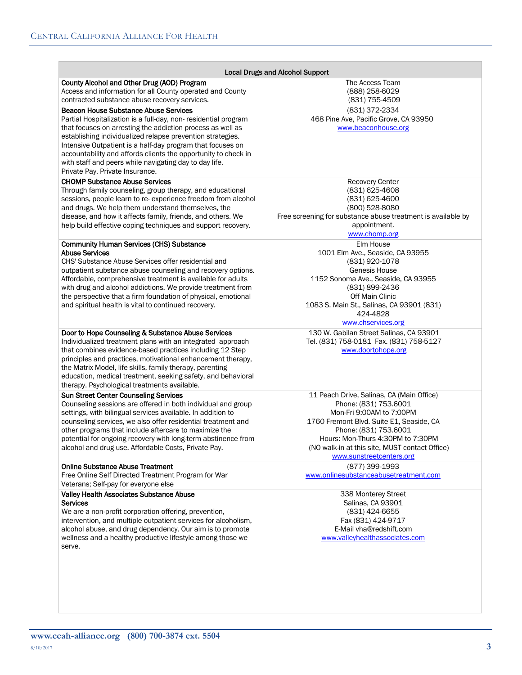| <b>Local Drugs and Alcohol Support</b>                                                                                                                                                                                                                                                                                                                                                                                                                                  |                                                                                                                                                                                                                                                                                        |  |
|-------------------------------------------------------------------------------------------------------------------------------------------------------------------------------------------------------------------------------------------------------------------------------------------------------------------------------------------------------------------------------------------------------------------------------------------------------------------------|----------------------------------------------------------------------------------------------------------------------------------------------------------------------------------------------------------------------------------------------------------------------------------------|--|
| County Alcohol and Other Drug (AOD) Program<br>Access and information for all County operated and County<br>contracted substance abuse recovery services.                                                                                                                                                                                                                                                                                                               | The Access Team<br>(888) 258-6029<br>(831) 755-4509                                                                                                                                                                                                                                    |  |
| <b>Beacon House Substance Abuse Services</b><br>Partial Hospitalization is a full-day, non-residential program<br>that focuses on arresting the addiction process as well as<br>establishing individualized relapse prevention strategies.<br>Intensive Outpatient is a half-day program that focuses on<br>accountability and affords clients the opportunity to check in<br>with staff and peers while navigating day to day life.<br>Private Pay. Private Insurance. | (831) 372-2334<br>468 Pine Ave, Pacific Grove, CA 93950<br>www.beaconhouse.org                                                                                                                                                                                                         |  |
| <b>CHOMP Substance Abuse Services</b><br>Through family counseling, group therapy, and educational<br>sessions, people learn to re-experience freedom from alcohol<br>and drugs. We help them understand themselves, the<br>disease, and how it affects family, friends, and others. We<br>help build effective coping techniques and support recovery.                                                                                                                 | <b>Recovery Center</b><br>(831) 625-4608<br>(831) 625-4600<br>(800) 528-8080<br>Free screening for substance abuse treatment is available by<br>appointment.<br>www.chomp.org                                                                                                          |  |
| <b>Community Human Services (CHS) Substance</b><br><b>Abuse Services</b><br>CHS' Substance Abuse Services offer residential and<br>outpatient substance abuse counseling and recovery options.<br>Affordable, comprehensive treatment is available for adults<br>with drug and alcohol addictions. We provide treatment from<br>the perspective that a firm foundation of physical, emotional<br>and spiritual health is vital to continued recovery.                   | Elm House<br>1001 Elm Ave., Seaside, CA 93955<br>(831) 920-1078<br>Genesis House<br>1152 Sonoma Ave., Seaside, CA 93955<br>(831) 899-2436<br>Off Main Clinic<br>1083 S. Main St., Salinas, CA 93901 (831)<br>424-4828<br>www.chservices.org                                            |  |
| Door to Hope Counseling & Substance Abuse Services<br>Individualized treatment plans with an integrated approach<br>that combines evidence-based practices including 12 Step<br>principles and practices, motivational enhancement therapy,<br>the Matrix Model, life skills, family therapy, parenting<br>education, medical treatment, seeking safety, and behavioral<br>therapy. Psychological treatments available.                                                 | 130 W. Gabilan Street Salinas, CA 93901<br>Tel. (831) 758-0181 Fax. (831) 758-5127<br>www.doortohope.org                                                                                                                                                                               |  |
| <b>Sun Street Center Counseling Services</b><br>Counseling sessions are offered in both individual and group<br>settings, with bilingual services available. In addition to<br>counseling services, we also offer residential treatment and<br>other programs that include aftercare to maximize the<br>potential for ongoing recovery with long-term abstinence from<br>alcohol and drug use. Affordable Costs, Private Pay.                                           | 11 Peach Drive, Salinas, CA (Main Office)<br>Phone: (831) 753.6001<br>Mon-Fri 9:00AM to 7:00PM<br>1760 Fremont Blvd. Suite E1, Seaside, CA<br>Phone: (831) 753.6001<br>Hours: Mon-Thurs 4:30PM to 7:30PM<br>(NO walk-in at this site, MUST contact Office)<br>www.sunstreetcenters.org |  |
| <b>Online Substance Abuse Treatment</b><br>Free Online Self Directed Treatment Program for War<br>Veterans; Self-pay for everyone else                                                                                                                                                                                                                                                                                                                                  | (877) 399-1993<br>www.onlinesubstanceabusetreatment.com                                                                                                                                                                                                                                |  |
| <b>Valley Health Associates Substance Abuse</b><br><b>Services</b><br>We are a non-profit corporation offering, prevention,<br>intervention, and multiple outpatient services for alcoholism,<br>alcohol abuse, and drug dependency. Our aim is to promote<br>wellness and a healthy productive lifestyle among those we<br>serve.                                                                                                                                      | 338 Monterey Street<br>Salinas, CA 93901<br>(831) 424-6655<br>Fax (831) 424-9717<br>E-Mail vha@redshift.com<br>www.valleyhealthassociates.com                                                                                                                                          |  |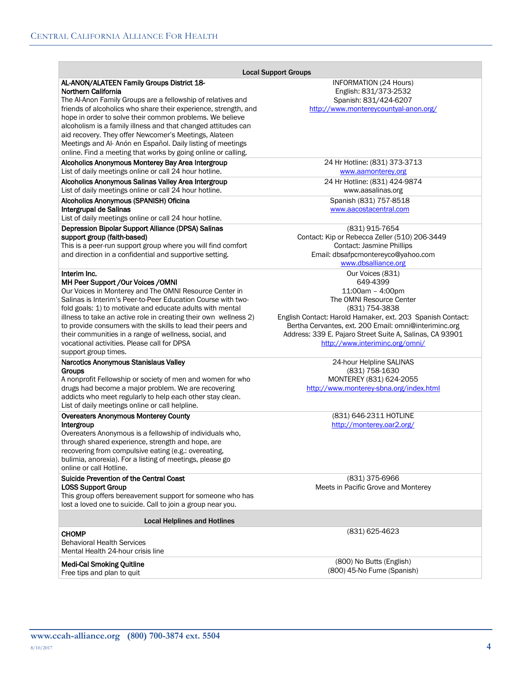|                                                                                                              | <b>Local Support Groups</b>                                |
|--------------------------------------------------------------------------------------------------------------|------------------------------------------------------------|
| AL-ANON/ALATEEN Family Groups District 18-<br>Northern California                                            | INFORMATION (24 Hours)<br>English: 831/373-2532            |
| The Al-Anon Family Groups are a fellowship of relatives and                                                  | Spanish: 831/424-6207                                      |
| friends of alcoholics who share their experience, strength, and                                              | http://www.montereycountyal-anon.org/                      |
| hope in order to solve their common problems. We believe                                                     |                                                            |
| alcoholism is a family illness and that changed attitudes can                                                |                                                            |
| aid recovery. They offer Newcomer's Meetings, Alateen                                                        |                                                            |
| Meetings and Al- Anón en Español. Daily listing of meetings                                                  |                                                            |
| online. Find a meeting that works by going online or calling.                                                |                                                            |
| Alcoholics Anonymous Monterey Bay Area Intergroup                                                            | 24 Hr Hotline: (831) 373-3713                              |
| List of daily meetings online or call 24 hour hotline.                                                       | www.aamonterey.org                                         |
| Alcoholics Anonymous Salinas Valley Area Intergroup                                                          | 24 Hr Hotline: (831) 424-9874                              |
| List of daily meetings online or call 24 hour hotline.                                                       | www.aasalinas.org                                          |
| Alcoholics Anonymous (SPANISH) Oficina                                                                       | Spanish (831) 757-8518                                     |
| Intergrupal de Salinas                                                                                       | www.aacostacentral.com                                     |
| List of daily meetings online or call 24 hour hotline.                                                       |                                                            |
| Depression Bipolar Support Alliance (DPSA) Salinas                                                           | (831) 915-7654                                             |
| support group (faith-based)                                                                                  | Contact: Kip or Rebecca Zeller (510) 206-3449              |
| This is a peer-run support group where you will find comfort                                                 | <b>Contact: Jasmine Phillips</b>                           |
| and direction in a confidential and supportive setting.                                                      | Email: dbsafpcmontereyco@yahoo.com<br>www.dbsalliance.org  |
|                                                                                                              |                                                            |
| Interim Inc.<br>MH Peer Support / Our Voices / OMNI                                                          | Our Voices (831)<br>649-4399                               |
| Our Voices in Monterey and The OMNI Resource Center in                                                       | 11:00am - 4:00pm                                           |
| Salinas is Interim's Peer-to-Peer Education Course with two-                                                 | The OMNI Resource Center                                   |
| fold goals: 1) to motivate and educate adults with mental                                                    | (831) 754-3838                                             |
| illness to take an active role in creating their own wellness 2)                                             | English Contact: Harold Hamaker, ext. 203 Spanish Contact: |
| to provide consumers with the skills to lead their peers and                                                 | Bertha Cervantes, ext. 200 Email: omni@interiminc.org      |
| their communities in a range of wellness, social, and                                                        | Address: 339 E. Pajaro Street Suite A, Salinas, CA 93901   |
| vocational activities. Please call for DPSA                                                                  | http://www.interiminc.org/omni/                            |
| support group times.                                                                                         |                                                            |
| Narcotics Anonymous Stanislaus Valley                                                                        | 24-hour Helpline SALINAS                                   |
| Groups                                                                                                       | (831) 758-1630                                             |
| A nonprofit Fellowship or society of men and women for who                                                   | MONTEREY (831) 624-2055                                    |
| drugs had become a major problem. We are recovering                                                          | http://www.monterey-sbna.org/index.html                    |
| addicts who meet regularly to help each other stay clean.<br>List of daily meetings online or call helpline. |                                                            |
|                                                                                                              |                                                            |
| <b>Overeaters Anonymous Monterey County</b><br>Intergroup                                                    | (831) 646-2311 HOTLINE<br>http://monterey.oar2.org/        |
| Overeaters Anonymous is a fellowship of individuals who,                                                     |                                                            |
| through shared experience, strength and hope, are                                                            |                                                            |
| recovering from compulsive eating (e.g.: overeating,                                                         |                                                            |
| bulimia, anorexia). For a listing of meetings, please go                                                     |                                                            |
| online or call Hotline.                                                                                      |                                                            |
| Suicide Prevention of the Central Coast                                                                      | (831) 375-6966                                             |
| <b>LOSS Support Group</b>                                                                                    | Meets in Pacific Grove and Monterey                        |
| This group offers bereavement support for someone who has                                                    |                                                            |
| lost a loved one to suicide. Call to join a group near you.                                                  |                                                            |
| <b>Local Helplines and Hotlines</b>                                                                          |                                                            |
| <b>CHOMP</b>                                                                                                 | (831) 625-4623                                             |
| <b>Behavioral Health Services</b>                                                                            |                                                            |
| Mental Health 24-hour crisis line                                                                            |                                                            |
|                                                                                                              | (800) No Butts (English)                                   |
| <b>Medi-Cal Smoking Quitline</b><br>Free tips and plan to quit                                               | (800) 45-No Fume (Spanish)                                 |
|                                                                                                              |                                                            |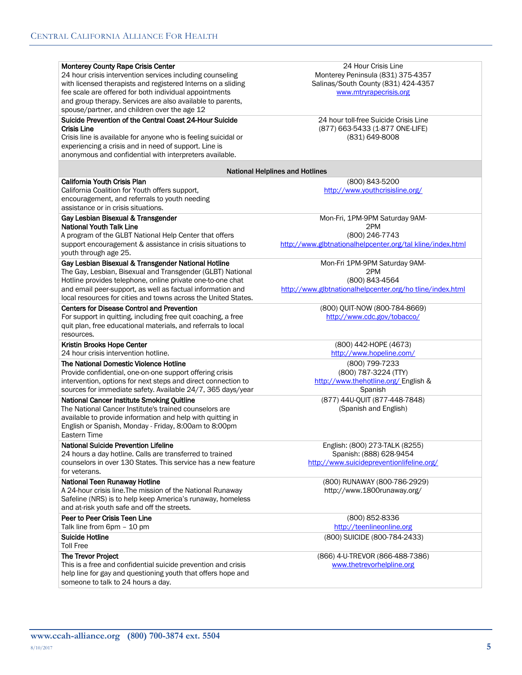| Monterey County Rape Crisis Center<br>24 hour crisis intervention services including counseling<br>with licensed therapists and registered Interns on a sliding<br>fee scale are offered for both individual appointments<br>and group therapy. Services are also available to parents,<br>spouse/partner, and children over the age 12 | 24 Hour Crisis Line<br>Monterey Peninsula (831) 375-4357<br>Salinas/South County (831) 424-4357<br>www.mtryrapecrisis.org |
|-----------------------------------------------------------------------------------------------------------------------------------------------------------------------------------------------------------------------------------------------------------------------------------------------------------------------------------------|---------------------------------------------------------------------------------------------------------------------------|
| Suicide Prevention of the Central Coast 24-Hour Suicide                                                                                                                                                                                                                                                                                 | 24 hour toll-free Suicide Crisis Line                                                                                     |
|                                                                                                                                                                                                                                                                                                                                         |                                                                                                                           |
| Crisis Line                                                                                                                                                                                                                                                                                                                             | (877) 663-5433 (1-877 ONE-LIFE)                                                                                           |
| Crisis line is available for anyone who is feeling suicidal or                                                                                                                                                                                                                                                                          | (831) 649-8008                                                                                                            |
| experiencing a crisis and in need of support. Line is                                                                                                                                                                                                                                                                                   |                                                                                                                           |
| anonymous and confidential with interpreters available.                                                                                                                                                                                                                                                                                 |                                                                                                                           |
|                                                                                                                                                                                                                                                                                                                                         | <b>National Helplines and Hotlines</b>                                                                                    |
| <b>California Youth Crisis Plan</b>                                                                                                                                                                                                                                                                                                     | (800) 843-5200                                                                                                            |
| California Coalition for Youth offers support,                                                                                                                                                                                                                                                                                          | http://www.youthcrisisline.org/                                                                                           |
| encouragement, and referrals to youth needing                                                                                                                                                                                                                                                                                           |                                                                                                                           |
| assistance or in crisis situations.                                                                                                                                                                                                                                                                                                     |                                                                                                                           |
|                                                                                                                                                                                                                                                                                                                                         |                                                                                                                           |
| Gay Lesbian Bisexual & Transgender                                                                                                                                                                                                                                                                                                      | Mon-Fri, 1PM-9PM Saturday 9AM-                                                                                            |
| <b>National Youth Talk Line</b>                                                                                                                                                                                                                                                                                                         | 2PM                                                                                                                       |
| A program of the GLBT National Help Center that offers                                                                                                                                                                                                                                                                                  | (800) 246-7743                                                                                                            |
| support encouragement & assistance in crisis situations to                                                                                                                                                                                                                                                                              | http://www.glbtnationalhelpcenter.org/tal kline/index.html                                                                |
| youth through age 25.                                                                                                                                                                                                                                                                                                                   |                                                                                                                           |
| Gay Lesbian Bisexual & Transgender National Hotline                                                                                                                                                                                                                                                                                     | Mon-Fri 1PM-9PM Saturday 9AM-                                                                                             |
| The Gay, Lesbian, Bisexual and Transgender (GLBT) National                                                                                                                                                                                                                                                                              | 2PM                                                                                                                       |
| Hotline provides telephone, online private one-to-one chat                                                                                                                                                                                                                                                                              | (800) 843-4564                                                                                                            |
| and email peer-support, as well as factual information and                                                                                                                                                                                                                                                                              | http://www.glbtnationalhelpcenter.org/ho tline/index.html                                                                 |
| local resources for cities and towns across the United States.                                                                                                                                                                                                                                                                          |                                                                                                                           |
| <b>Centers for Disease Control and Prevention</b>                                                                                                                                                                                                                                                                                       | (800) QUIT-NOW (800-784-8669)                                                                                             |
|                                                                                                                                                                                                                                                                                                                                         |                                                                                                                           |
| For support in quitting, including free quit coaching, a free                                                                                                                                                                                                                                                                           | http://www.cdc.gov/tobacco/                                                                                               |
| quit plan, free educational materials, and referrals to local                                                                                                                                                                                                                                                                           |                                                                                                                           |
| resources.                                                                                                                                                                                                                                                                                                                              |                                                                                                                           |
| Kristin Brooks Hope Center                                                                                                                                                                                                                                                                                                              | (800) 442-HOPE (4673)                                                                                                     |
| 24 hour crisis intervention hotline.                                                                                                                                                                                                                                                                                                    | http://www.hopeline.com/                                                                                                  |
| The National Domestic Violence Hotline                                                                                                                                                                                                                                                                                                  | (800) 799-7233                                                                                                            |
| Provide confidential, one-on-one support offering crisis                                                                                                                                                                                                                                                                                | (800) 787-3224 (TTY)                                                                                                      |
| intervention, options for next steps and direct connection to                                                                                                                                                                                                                                                                           | http://www.thehotline.org/ English &                                                                                      |
| sources for immediate safety. Available 24/7, 365 days/year                                                                                                                                                                                                                                                                             | Spanish                                                                                                                   |
| National Cancer Institute Smoking Quitline                                                                                                                                                                                                                                                                                              | (877) 44U-QUIT (877-448-7848)                                                                                             |
| The National Cancer Institute's trained counselors are                                                                                                                                                                                                                                                                                  | (Spanish and English)                                                                                                     |
| available to provide information and help with quitting in                                                                                                                                                                                                                                                                              |                                                                                                                           |
| English or Spanish, Monday - Friday, 8:00am to 8:00pm                                                                                                                                                                                                                                                                                   |                                                                                                                           |
| Eastern Time                                                                                                                                                                                                                                                                                                                            |                                                                                                                           |
|                                                                                                                                                                                                                                                                                                                                         |                                                                                                                           |
| <b>National Suicide Prevention Lifeline</b>                                                                                                                                                                                                                                                                                             | English: (800) 273-TALK (8255)                                                                                            |
| 24 hours a day hotline. Calls are transferred to trained                                                                                                                                                                                                                                                                                | Spanish: (888) 628-9454                                                                                                   |
| counselors in over 130 States. This service has a new feature                                                                                                                                                                                                                                                                           | http://www.suicidepreventionlifeline.org/                                                                                 |
| for veterans.                                                                                                                                                                                                                                                                                                                           |                                                                                                                           |
| National Teen Runaway Hotline                                                                                                                                                                                                                                                                                                           | (800) RUNAWAY (800-786-2929)                                                                                              |
| A 24-hour crisis line. The mission of the National Runaway                                                                                                                                                                                                                                                                              | http://www.1800runaway.org/                                                                                               |
| Safeline (NRS) is to help keep America's runaway, homeless                                                                                                                                                                                                                                                                              |                                                                                                                           |
| and at-risk youth safe and off the streets.                                                                                                                                                                                                                                                                                             |                                                                                                                           |
| Peer to Peer Crisis Teen Line                                                                                                                                                                                                                                                                                                           | (800) 852-8336                                                                                                            |
| Talk line from 6pm - 10 pm                                                                                                                                                                                                                                                                                                              | http://teenlineonline.org                                                                                                 |
| <b>Suicide Hotline</b>                                                                                                                                                                                                                                                                                                                  | (800) SUICIDE (800-784-2433)                                                                                              |
| <b>Toll Free</b>                                                                                                                                                                                                                                                                                                                        |                                                                                                                           |
| The Trevor Project                                                                                                                                                                                                                                                                                                                      | (866) 4-U-TREVOR (866-488-7386)                                                                                           |
| This is a free and confidential suicide prevention and crisis                                                                                                                                                                                                                                                                           | www.thetrevorhelpline.org                                                                                                 |
| help line for gay and questioning youth that offers hope and                                                                                                                                                                                                                                                                            |                                                                                                                           |
| someone to talk to 24 hours a day.                                                                                                                                                                                                                                                                                                      |                                                                                                                           |
|                                                                                                                                                                                                                                                                                                                                         |                                                                                                                           |